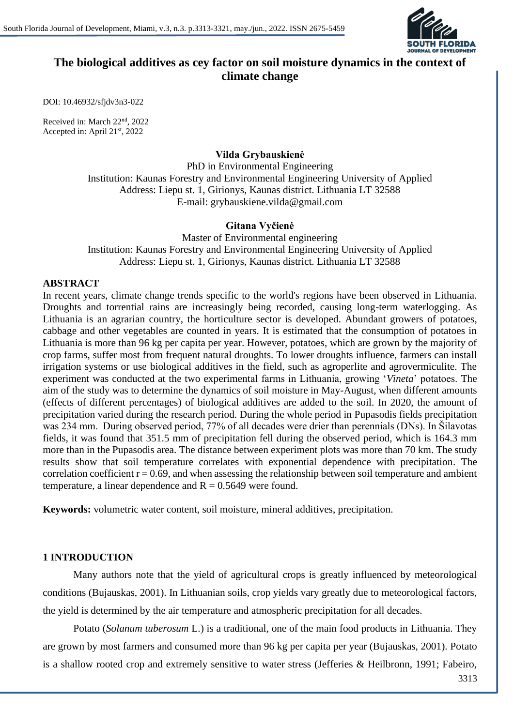

# **The biological additives as cey factor on soil moisture dynamics in the context of climate change**

DOI: 10.46932/sfjdv3n3-022

Received in: March 22nd, 2022 Accepted in: April 21st, 2022

### **Vilda Grybauskienė**

PhD in Environmental Engineering Institution: Kaunas Forestry and Environmental Engineering University of Applied Address: Liepu st. 1, Girionys, Kaunas district. Lithuania LT 32588 E-mail: grybauskiene.vilda@gmail.com

## **Gitana Vyčienė**

Master of Environmental engineering Institution: Kaunas Forestry and Environmental Engineering University of Applied Address: Liepu st. 1, Girionys, Kaunas district. Lithuania LT 32588

#### **ABSTRACT**

In recent years, climate change trends specific to the world's regions have been observed in Lithuania. Droughts and torrential rains are increasingly being recorded, causing long-term waterlogging. As Lithuania is an agrarian country, the horticulture sector is developed. Abundant growers of potatoes, cabbage and other vegetables are counted in years. It is estimated that the consumption of potatoes in Lithuania is more than 96 kg per capita per year. However, potatoes, which are grown by the majority of crop farms, suffer most from frequent natural droughts. To lower droughts influence, farmers can install irrigation systems or use biological additives in the field, such as agroperlite and agrovermiculite. The experiment was conducted at the two experimental farms in Lithuania, growing '*Vineta*' potatoes. The aim of the study was to determine the dynamics of soil moisture in May-August, when different amounts (effects of different percentages) of biological additives are added to the soil. In 2020, the amount of precipitation varied during the research period. During the whole period in Pupasodis fields precipitation was 234 mm. During observed period, 77% of all decades were drier than perennials (DNs). In Šilavotas fields, it was found that 351.5 mm of precipitation fell during the observed period, which is 164.3 mm more than in the Pupasodis area. The distance between experiment plots was more than 70 km. The study results show that soil temperature correlates with exponential dependence with precipitation. The correlation coefficient  $r = 0.69$ , and when assessing the relationship between soil temperature and ambient temperature, a linear dependence and  $R = 0.5649$  were found.

**Keywords:** volumetric water content, soil moisture, mineral additives, precipitation.

### **1 INTRODUCTION**

Many authors note that the yield of agricultural crops is greatly influenced by meteorological conditions (Bujauskas, 2001). In Lithuanian soils, crop yields vary greatly due to meteorological factors, the yield is determined by the air temperature and atmospheric precipitation for all decades.

Potato (*Solanum tuberosum* L.) is a traditional, one of the main food products in Lithuania. They are grown by most farmers and consumed more than 96 kg per capita per year (Bujauskas, 2001). Potato is a shallow rooted crop and extremely sensitive to water stress (Jefferies & Heilbronn, 1991; Fabeiro,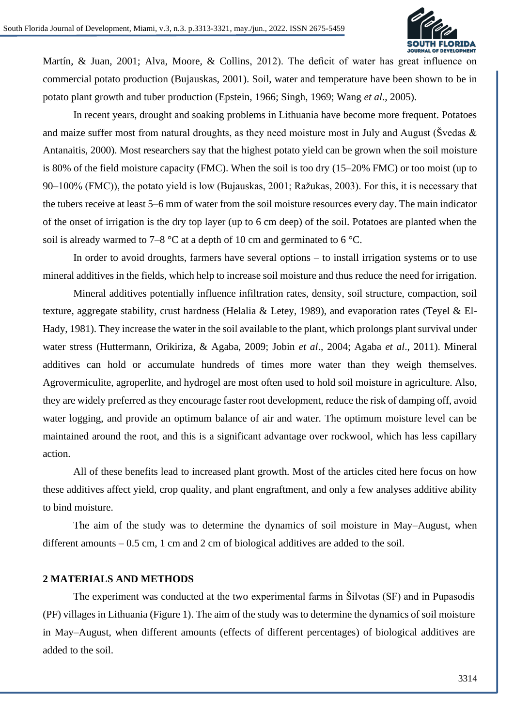

Martín, & Juan, 2001; Alva, Moore, & Collins, 2012). The deficit of water has great influence on commercial potato production (Bujauskas, 2001). Soil, water and temperature have been shown to be in potato plant growth and tuber production (Epstein, 1966; Singh, 1969; Wang *et al*., 2005).

In recent years, drought and soaking problems in Lithuania have become more frequent. Potatoes and maize suffer most from natural droughts, as they need moisture most in July and August (Švedas  $\&$ Antanaitis, 2000). Most researchers say that the highest potato yield can be grown when the soil moisture is 80% of the field moisture capacity (FMC). When the soil is too dry (15–20% FMC) or too moist (up to 90–100% (FMC)), the potato yield is low (Bujauskas, 2001; Ražukas, 2003). For this, it is necessary that the tubers receive at least 5–6 mm of water from the soil moisture resources every day. The main indicator of the onset of irrigation is the dry top layer (up to 6 cm deep) of the soil. Potatoes are planted when the soil is already warmed to 7–8  $\degree$ C at a depth of 10 cm and germinated to 6  $\degree$ C.

In order to avoid droughts, farmers have several options – to install irrigation systems or to use mineral additives in the fields, which help to increase soil moisture and thus reduce the need for irrigation.

Mineral additives potentially influence infiltration rates, density, soil structure, compaction, soil texture, aggregate stability, crust hardness (Helalia & Letey, 1989), and evaporation rates (Teyel & El-Hady, 1981). They increase the water in the soil available to the plant, which prolongs plant survival under water stress (Huttermann, Orikiriza, & Agaba, 2009; Jobin *et al*., 2004; Agaba *et al*., 2011). Mineral additives can hold or accumulate hundreds of times more water than they weigh themselves. Agrovermiculite, agroperlite, and hydrogel are most often used to hold soil moisture in agriculture. Also, they are widely preferred as they encourage faster root development, reduce the risk of damping off, avoid water logging, and provide an optimum balance of air and water. The optimum moisture level can be maintained around the root, and this is a significant advantage over rockwool, which has less capillary action.

All of these benefits lead to increased plant growth. Most of the articles cited here focus on how these additives affect yield, crop quality, and plant engraftment, and only a few analyses additive ability to bind moisture.

The aim of the study was to determine the dynamics of soil moisture in May–August, when different amounts  $-0.5$  cm, 1 cm and 2 cm of biological additives are added to the soil.

#### **2 MATERIALS AND METHODS**

The experiment was conducted at the two experimental farms in Šilvotas (SF) and in Pupasodis (PF) villages in Lithuania (Figure 1). The aim of the study was to determine the dynamics of soil moisture in May–August, when different amounts (effects of different percentages) of biological additives are added to the soil.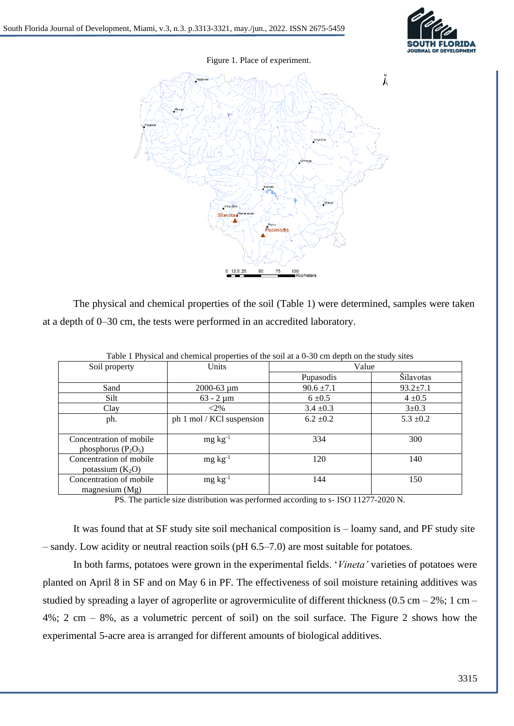

Figure 1. Place of experiment.



The physical and chemical properties of the soil (Table 1) were determined, samples were taken at a depth of 0–30 cm, the tests were performed in an accredited laboratory.

| $\frac{1}{2}$ . The state and chemical properties of the solitary $\frac{1}{2}$ of empty on the state |                           |                |                |  |  |  |  |  |
|-------------------------------------------------------------------------------------------------------|---------------------------|----------------|----------------|--|--|--|--|--|
| Soil property                                                                                         | Units                     | Value          |                |  |  |  |  |  |
|                                                                                                       |                           | Pupasodis      | Šilavotas      |  |  |  |  |  |
| Sand                                                                                                  | $2000 - 63 \mu m$         | $90.6 \pm 7.1$ | $93.2 \pm 7.1$ |  |  |  |  |  |
| <b>Silt</b>                                                                                           | $63 - 2 \mu m$            | $6 \pm 0.5$    | $4 \pm 0.5$    |  |  |  |  |  |
| Clay                                                                                                  | $<$ 2%                    | $3.4 \pm 0.3$  | $3 \pm 0.3$    |  |  |  |  |  |
| ph.                                                                                                   | ph 1 mol / KCl suspension | $6.2 \pm 0.2$  | $5.3 \pm 0.2$  |  |  |  |  |  |
|                                                                                                       |                           |                |                |  |  |  |  |  |
| Concentration of mobile                                                                               | $mg \, kg^{-1}$           | 334            | 300            |  |  |  |  |  |
| phosphorus $(P_2O_5)$                                                                                 |                           |                |                |  |  |  |  |  |
| Concentration of mobile                                                                               | $mg \, kg^{-1}$           | 120            | 140            |  |  |  |  |  |
| potassium $(K_2O)$                                                                                    |                           |                |                |  |  |  |  |  |
| Concentration of mobile                                                                               | $mg \, kg^{-1}$           | 144            | 150            |  |  |  |  |  |
| magnesium $(Mg)$                                                                                      |                           |                |                |  |  |  |  |  |

Table 1 Physical and chemical properties of the soil at a 0-30 cm depth on the study sites

PS. The particle size distribution was performed according to s- ISO 11277-2020 N.

It was found that at SF study site soil mechanical composition is – loamy sand, and PF study site – sandy. Low acidity or neutral reaction soils (pH 6.5–7.0) are most suitable for potatoes.

In both farms, potatoes were grown in the experimental fields. '*Vineta'* varieties of potatoes were planted on April 8 in SF and on May 6 in PF. The effectiveness of soil moisture retaining additives was studied by spreading a layer of agroperlite or agrovermiculite of different thickness  $(0.5 \text{ cm} - 2\%; 1 \text{ cm} -$ 4%; 2 cm – 8%, as a volumetric percent of soil) on the soil surface. The Figure 2 shows how the experimental 5-acre area is arranged for different amounts of biological additives.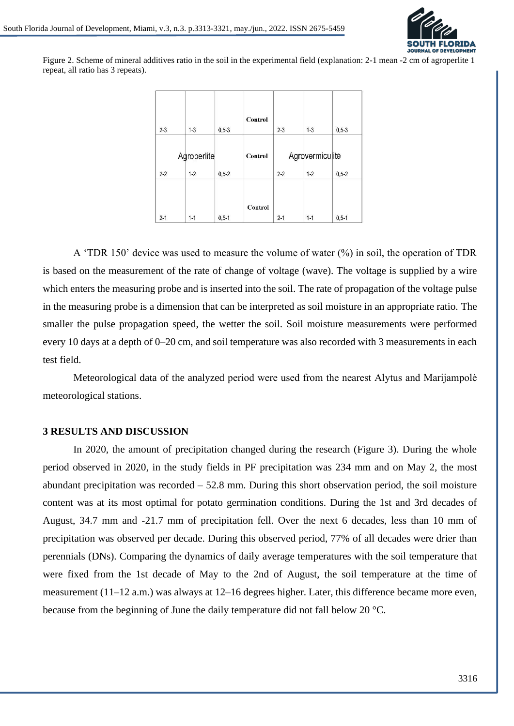

Figure 2. Scheme of mineral additives ratio in the soil in the experimental field (explanation: 2-1 mean -2 cm of agroperlite 1 repeat, all ratio has 3 repeats).

| $2 - 3$                                        | $1 - 3$ | $0,5-3$ | Control                                          | $2 - 3$ | $1 - 3$ | $0.5 - 3$ |
|------------------------------------------------|---------|---------|--------------------------------------------------|---------|---------|-----------|
| Agroperlite<br>$2 - 2$<br>$1 - 2$<br>$0,5 - 2$ |         | Control | Agrovermiculite<br>$1-2$<br>$0.5 - 2$<br>$2 - 2$ |         |         |           |
| $2 - 1$                                        | $1 - 1$ | $0,5-1$ | Control                                          | $2 - 1$ | $1 - 1$ | $0,5-1$   |

A 'TDR 150' device was used to measure the volume of water (%) in soil, the operation of TDR is based on the measurement of the rate of change of voltage (wave). The voltage is supplied by a wire which enters the measuring probe and is inserted into the soil. The rate of propagation of the voltage pulse in the measuring probe is a dimension that can be interpreted as soil moisture in an appropriate ratio. The smaller the pulse propagation speed, the wetter the soil. Soil moisture measurements were performed every 10 days at a depth of 0–20 cm, and soil temperature was also recorded with 3 measurements in each test field.

Meteorological data of the analyzed period were used from the nearest Alytus and Marijampolė meteorological stations.

#### **3 RESULTS AND DISCUSSION**

In 2020, the amount of precipitation changed during the research (Figure 3). During the whole period observed in 2020, in the study fields in PF precipitation was 234 mm and on May 2, the most abundant precipitation was recorded – 52.8 mm. During this short observation period, the soil moisture content was at its most optimal for potato germination conditions. During the 1st and 3rd decades of August, 34.7 mm and -21.7 mm of precipitation fell. Over the next 6 decades, less than 10 mm of precipitation was observed per decade. During this observed period, 77% of all decades were drier than perennials (DNs). Comparing the dynamics of daily average temperatures with the soil temperature that were fixed from the 1st decade of May to the 2nd of August, the soil temperature at the time of measurement (11–12 a.m.) was always at 12–16 degrees higher. Later, this difference became more even, because from the beginning of June the daily temperature did not fall below 20 °C.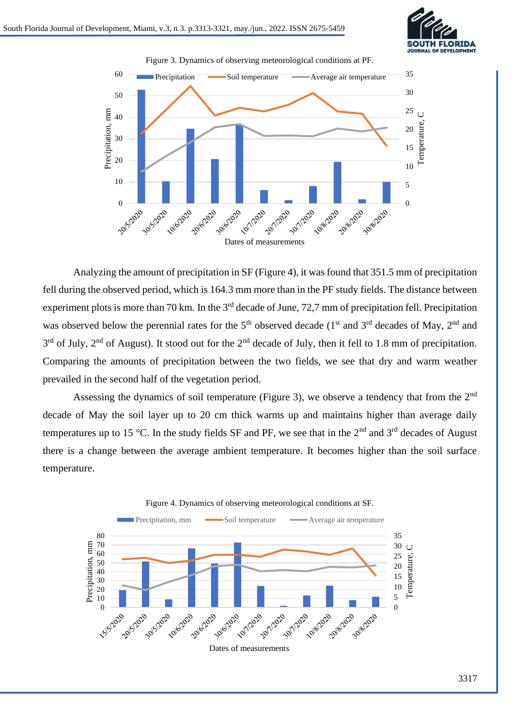



Analyzing the amount of precipitation in SF (Figure 4), it was found that 351.5 mm of precipitation fell during the observed period, which is 164.3 mm more than in the PF study fields. The distance between experiment plots is more than 70 km. In the 3<sup>rd</sup> decade of June, 72,7 mm of precipitation fell. Precipitation was observed below the perennial rates for the 5<sup>th</sup> observed decade ( $1<sup>st</sup>$  and  $3<sup>rd</sup>$  decades of May,  $2<sup>nd</sup>$  and  $3<sup>rd</sup>$  of July,  $2<sup>nd</sup>$  of August). It stood out for the  $2<sup>nd</sup>$  decade of July, then it fell to 1.8 mm of precipitation. Comparing the amounts of precipitation between the two fields, we see that dry and warm weather prevailed in the second half of the vegetation period.

Assessing the dynamics of soil temperature (Figure 3), we observe a tendency that from the 2<sup>nd</sup> decade of May the soil layer up to 20 cm thick warms up and maintains higher than average daily temperatures up to 15 °C. In the study fields SF and PF, we see that in the  $2<sup>nd</sup>$  and  $3<sup>rd</sup>$  decades of August there is a change between the average ambient temperature. It becomes higher than the soil surface temperature.



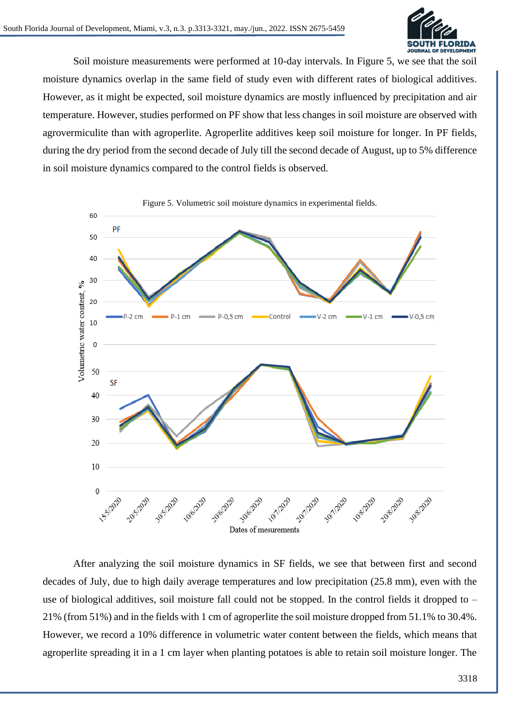

Soil moisture measurements were performed at 10-day intervals. In Figure 5, we see that the soil moisture dynamics overlap in the same field of study even with different rates of biological additives. However, as it might be expected, soil moisture dynamics are mostly influenced by precipitation and air temperature. However, studies performed on PF show that less changes in soil moisture are observed with agrovermiculite than with agroperlite. Agroperlite additives keep soil moisture for longer. In PF fields, during the dry period from the second decade of July till the second decade of August, up to 5% difference in soil moisture dynamics compared to the control fields is observed.



After analyzing the soil moisture dynamics in SF fields, we see that between first and second decades of July, due to high daily average temperatures and low precipitation (25.8 mm), even with the use of biological additives, soil moisture fall could not be stopped. In the control fields it dropped to – 21% (from 51%) and in the fields with 1 cm of agroperlite the soil moisture dropped from 51.1% to 30.4%. However, we record a 10% difference in volumetric water content between the fields, which means that agroperlite spreading it in a 1 cm layer when planting potatoes is able to retain soil moisture longer. The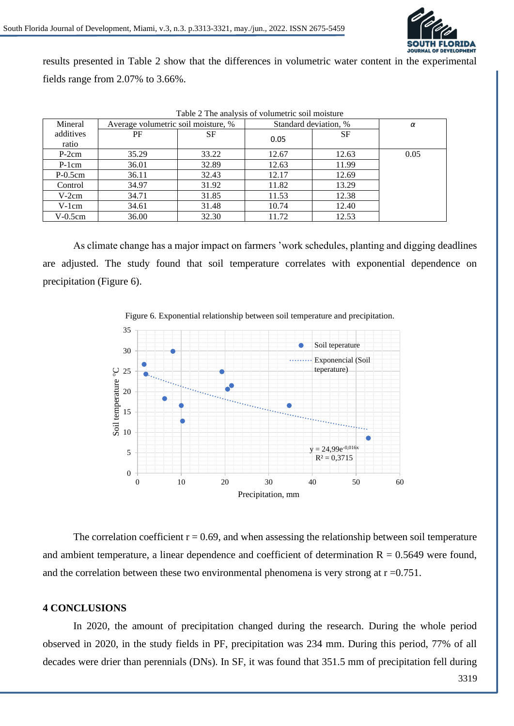

results presented in Table 2 show that the differences in volumetric water content in the experimental fields range from 2.07% to 3.66%.

| Table 2 The analysis of volumetric soil moisture |                                     |       |                       |           |      |  |  |  |
|--------------------------------------------------|-------------------------------------|-------|-----------------------|-----------|------|--|--|--|
| Mineral                                          | Average volumetric soil moisture, % |       | Standard deviation, % |           | α    |  |  |  |
| additives                                        | PF                                  | SF    | 0.05                  | <b>SF</b> |      |  |  |  |
| ratio                                            |                                     |       |                       |           |      |  |  |  |
| $P-2cm$                                          | 35.29                               | 33.22 | 12.67                 | 12.63     | 0.05 |  |  |  |
| $P-1cm$                                          | 36.01                               | 32.89 | 12.63                 | 11.99     |      |  |  |  |
| $P-0.5cm$                                        | 36.11                               | 32.43 | 12.17                 | 12.69     |      |  |  |  |
| Control                                          | 34.97                               | 31.92 | 11.82                 | 13.29     |      |  |  |  |
| $V-2cm$                                          | 34.71                               | 31.85 | 11.53                 | 12.38     |      |  |  |  |
| $V-1cm$                                          | 34.61                               | 31.48 | 10.74                 | 12.40     |      |  |  |  |
| V-0.5cm                                          | 36.00                               | 32.30 | 11.72                 | 12.53     |      |  |  |  |

As climate change has a major impact on farmers 'work schedules, planting and digging deadlines are adjusted. The study found that soil temperature correlates with exponential dependence on

precipitation (Figure 6).



Figure 6. Exponential relationship between soil temperature and precipitation.

The correlation coefficient  $r = 0.69$ , and when assessing the relationship between soil temperature and ambient temperature, a linear dependence and coefficient of determination  $R = 0.5649$  were found, and the correlation between these two environmental phenomena is very strong at  $r = 0.751$ .

## **4 CONCLUSIONS**

In 2020, the amount of precipitation changed during the research. During the whole period observed in 2020, in the study fields in PF, precipitation was 234 mm. During this period, 77% of all decades were drier than perennials (DNs). In SF, it was found that 351.5 mm of precipitation fell during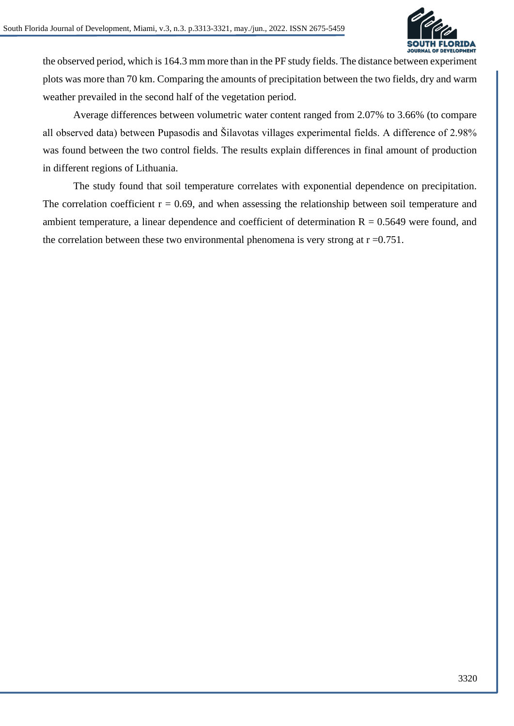

the observed period, which is 164.3 mm more than in the PF study fields. The distance between experiment plots was more than 70 km. Comparing the amounts of precipitation between the two fields, dry and warm weather prevailed in the second half of the vegetation period.

Average differences between volumetric water content ranged from 2.07% to 3.66% (to compare all observed data) between Pupasodis and Šilavotas villages experimental fields. A difference of 2.98% was found between the two control fields. The results explain differences in final amount of production in different regions of Lithuania.

The study found that soil temperature correlates with exponential dependence on precipitation. The correlation coefficient  $r = 0.69$ , and when assessing the relationship between soil temperature and ambient temperature, a linear dependence and coefficient of determination  $R = 0.5649$  were found, and the correlation between these two environmental phenomena is very strong at  $r = 0.751$ .